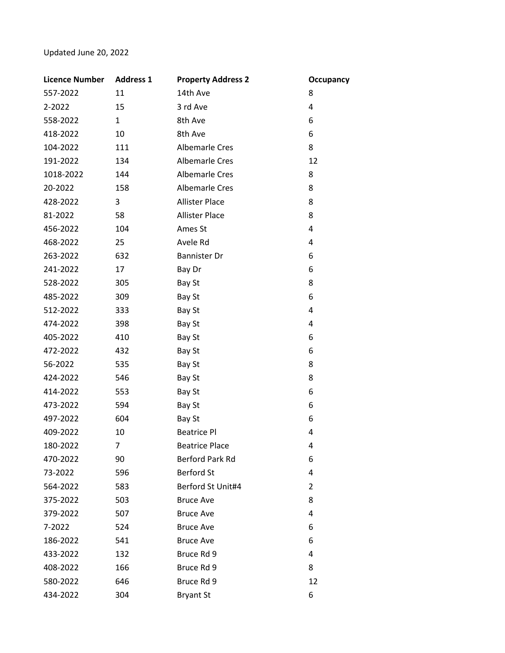## Updated June 20, 2022

| <b>Licence Number</b> | <b>Address 1</b> | <b>Property Address 2</b> | <b>Occupancy</b> |
|-----------------------|------------------|---------------------------|------------------|
| 557-2022              | 11               | 14th Ave                  | 8                |
| 2-2022                | 15               | 3 rd Ave                  | 4                |
| 558-2022              | $\mathbf{1}$     | 8th Ave                   | 6                |
| 418-2022              | 10               | 8th Ave                   | 6                |
| 104-2022              | 111              | Albemarle Cres            | 8                |
| 191-2022              | 134              | <b>Albemarle Cres</b>     | 12               |
| 1018-2022             | 144              | <b>Albemarle Cres</b>     | 8                |
| 20-2022               | 158              | <b>Albemarle Cres</b>     | 8                |
| 428-2022              | 3                | <b>Allister Place</b>     | 8                |
| 81-2022               | 58               | <b>Allister Place</b>     | 8                |
| 456-2022              | 104              | Ames St                   | 4                |
| 468-2022              | 25               | Avele Rd                  | 4                |
| 263-2022              | 632              | <b>Bannister Dr</b>       | 6                |
| 241-2022              | 17               | Bay Dr                    | 6                |
| 528-2022              | 305              | Bay St                    | 8                |
| 485-2022              | 309              | Bay St                    | 6                |
| 512-2022              | 333              | Bay St                    | 4                |
| 474-2022              | 398              | Bay St                    | 4                |
| 405-2022              | 410              | Bay St                    | 6                |
| 472-2022              | 432              | Bay St                    | 6                |
| 56-2022               | 535              | Bay St                    | 8                |
| 424-2022              | 546              | Bay St                    | 8                |
| 414-2022              | 553              | Bay St                    | 6                |
| 473-2022              | 594              | Bay St                    | 6                |
| 497-2022              | 604              | Bay St                    | 6                |
| 409-2022              | 10               | <b>Beatrice Pl</b>        | 4                |
| 180-2022              | 7                | <b>Beatrice Place</b>     | 4                |
| 470-2022              | 90               | Berford Park Rd           | 6                |
| 73-2022               | 596              | <b>Berford St</b>         | 4                |
| 564-2022              | 583              | Berford St Unit#4         | $\overline{2}$   |
| 375-2022              | 503              | <b>Bruce Ave</b>          | 8                |
| 379-2022              | 507              | <b>Bruce Ave</b>          | 4                |
| 7-2022                | 524              | <b>Bruce Ave</b>          | 6                |
| 186-2022              | 541              | <b>Bruce Ave</b>          | 6                |
| 433-2022              | 132              | Bruce Rd 9                | 4                |
| 408-2022              | 166              | Bruce Rd 9                | 8                |
| 580-2022              | 646              | Bruce Rd 9                | 12               |
| 434-2022              | 304              | <b>Bryant St</b>          | 6                |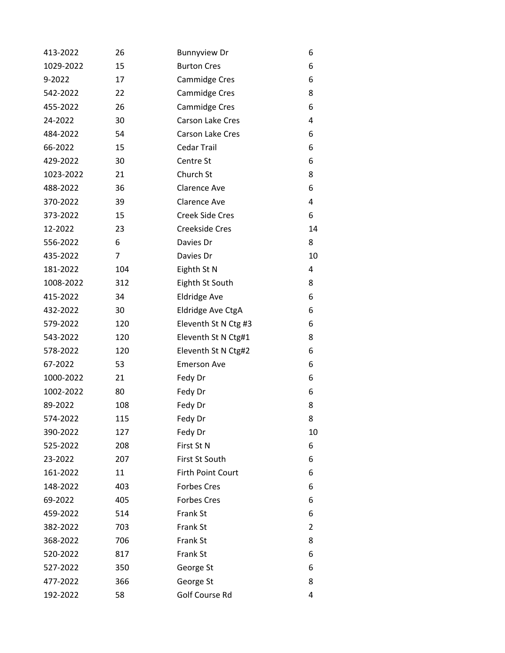| 413-2022  | 26  | <b>Bunnyview Dr</b>      | 6  |
|-----------|-----|--------------------------|----|
| 1029-2022 | 15  | <b>Burton Cres</b>       | 6  |
| 9-2022    | 17  | <b>Cammidge Cres</b>     | 6  |
| 542-2022  | 22  | <b>Cammidge Cres</b>     | 8  |
| 455-2022  | 26  | <b>Cammidge Cres</b>     | 6  |
| 24-2022   | 30  | Carson Lake Cres         | 4  |
| 484-2022  | 54  | Carson Lake Cres         | 6  |
| 66-2022   | 15  | <b>Cedar Trail</b>       | 6  |
| 429-2022  | 30  | Centre St                | 6  |
| 1023-2022 | 21  | Church St                | 8  |
| 488-2022  | 36  | <b>Clarence Ave</b>      | 6  |
| 370-2022  | 39  | <b>Clarence Ave</b>      | 4  |
| 373-2022  | 15  | <b>Creek Side Cres</b>   | 6  |
| 12-2022   | 23  | Creekside Cres           | 14 |
| 556-2022  | 6   | Davies Dr                | 8  |
| 435-2022  | 7   | Davies Dr                | 10 |
| 181-2022  | 104 | Eighth St N              | 4  |
| 1008-2022 | 312 | Eighth St South          | 8  |
| 415-2022  | 34  | <b>Eldridge Ave</b>      | 6  |
| 432-2022  | 30  | Eldridge Ave CtgA        | 6  |
| 579-2022  | 120 | Eleventh St N Ctg #3     | 6  |
| 543-2022  | 120 | Eleventh St N Ctg#1      | 8  |
| 578-2022  | 120 | Eleventh St N Ctg#2      | 6  |
| 67-2022   | 53  | <b>Emerson Ave</b>       | 6  |
| 1000-2022 | 21  | Fedy Dr                  | 6  |
| 1002-2022 | 80  | Fedy Dr                  | 6  |
| 89-2022   | 108 | Fedy Dr                  | 8  |
| 574-2022  | 115 | Fedy Dr                  | 8  |
| 390-2022  | 127 | Fedy Dr                  | 10 |
| 525-2022  | 208 | First St N               | 6  |
| 23-2022   | 207 | First St South           | 6  |
| 161-2022  | 11  | <b>Firth Point Court</b> | 6  |
| 148-2022  | 403 | <b>Forbes Cres</b>       | 6  |
| 69-2022   | 405 | <b>Forbes Cres</b>       | 6  |
| 459-2022  | 514 | Frank St                 | 6  |
| 382-2022  | 703 | Frank St                 | 2  |
| 368-2022  | 706 | Frank St                 | 8  |
| 520-2022  | 817 | Frank St                 | 6  |
| 527-2022  | 350 | George St                | 6  |
| 477-2022  | 366 | George St                | 8  |
| 192-2022  | 58  | Golf Course Rd           | 4  |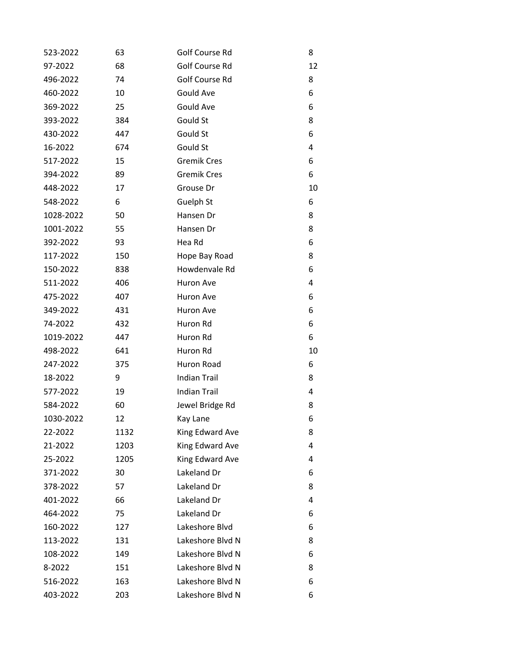| 523-2022  | 63   | Golf Course Rd      | 8  |
|-----------|------|---------------------|----|
| 97-2022   | 68   | Golf Course Rd      | 12 |
| 496-2022  | 74   | Golf Course Rd      | 8  |
| 460-2022  | 10   | Gould Ave           | 6  |
| 369-2022  | 25   | Gould Ave           | 6  |
| 393-2022  | 384  | Gould St            | 8  |
| 430-2022  | 447  | Gould St            | 6  |
| 16-2022   | 674  | Gould St            | 4  |
| 517-2022  | 15   | <b>Gremik Cres</b>  | 6  |
| 394-2022  | 89   | <b>Gremik Cres</b>  | 6  |
| 448-2022  | 17   | Grouse Dr           | 10 |
| 548-2022  | 6    | Guelph St           | 6  |
| 1028-2022 | 50   | Hansen Dr           | 8  |
| 1001-2022 | 55   | Hansen Dr           | 8  |
| 392-2022  | 93   | Hea Rd              | 6  |
| 117-2022  | 150  | Hope Bay Road       | 8  |
| 150-2022  | 838  | Howdenvale Rd       | 6  |
| 511-2022  | 406  | Huron Ave           | 4  |
| 475-2022  | 407  | Huron Ave           | 6  |
| 349-2022  | 431  | Huron Ave           | 6  |
| 74-2022   | 432  | Huron Rd            | 6  |
| 1019-2022 | 447  | Huron Rd            | 6  |
| 498-2022  | 641  | Huron Rd            | 10 |
| 247-2022  | 375  | Huron Road          | 6  |
| 18-2022   | 9    | <b>Indian Trail</b> | 8  |
| 577-2022  | 19   | <b>Indian Trail</b> | 4  |
| 584-2022  | 60   | Jewel Bridge Rd     | 8  |
| 1030-2022 | 12   | Kay Lane            | 6  |
| 22-2022   | 1132 | King Edward Ave     | 8  |
| 21-2022   | 1203 | King Edward Ave     | 4  |
| 25-2022   | 1205 | King Edward Ave     | 4  |
| 371-2022  | 30   | Lakeland Dr         | 6  |
| 378-2022  | 57   | Lakeland Dr         | 8  |
| 401-2022  | 66   | Lakeland Dr         | 4  |
| 464-2022  | 75   | Lakeland Dr         | 6  |
| 160-2022  | 127  | Lakeshore Blvd      | 6  |
| 113-2022  | 131  | Lakeshore Blvd N    | 8  |
| 108-2022  | 149  | Lakeshore Blvd N    | 6  |
| 8-2022    | 151  | Lakeshore Blvd N    | 8  |
| 516-2022  | 163  | Lakeshore Blvd N    | 6  |
| 403-2022  | 203  | Lakeshore Blvd N    | 6  |
|           |      |                     |    |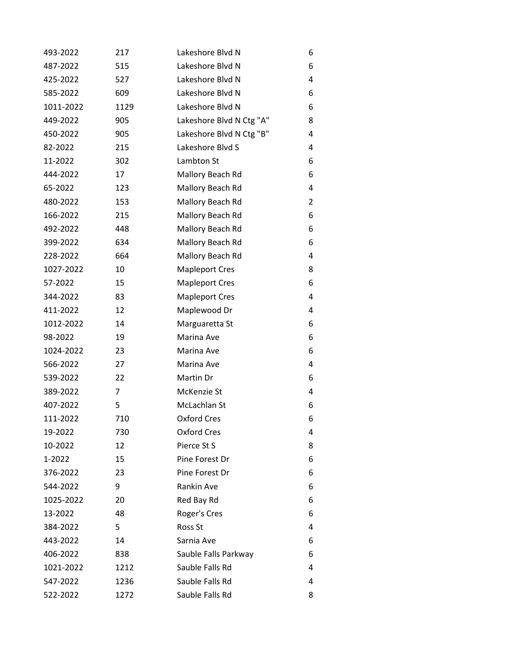| 493-2022  | 217  | Lakeshore Blvd N         | 6              |
|-----------|------|--------------------------|----------------|
| 487-2022  | 515  | Lakeshore Blvd N         | 6              |
| 425-2022  | 527  | Lakeshore Blvd N         | 4              |
| 585-2022  | 609  | Lakeshore Blvd N         | 6              |
| 1011-2022 | 1129 | Lakeshore Blvd N         | 6              |
| 449-2022  | 905  | Lakeshore Blvd N Ctg "A" | 8              |
| 450-2022  | 905  | Lakeshore Blvd N Ctg "B" | 4              |
| 82-2022   | 215  | Lakeshore Blvd S         | 4              |
| 11-2022   | 302  | Lambton St               | 6              |
| 444-2022  | 17   | Mallory Beach Rd         | 6              |
| 65-2022   | 123  | Mallory Beach Rd         | 4              |
| 480-2022  | 153  | Mallory Beach Rd         | $\overline{2}$ |
| 166-2022  | 215  | Mallory Beach Rd         | 6              |
| 492-2022  | 448  | Mallory Beach Rd         | 6              |
| 399-2022  | 634  | Mallory Beach Rd         | 6              |
| 228-2022  | 664  | Mallory Beach Rd         | 4              |
| 1027-2022 | 10   | <b>Mapleport Cres</b>    | 8              |
| 57-2022   | 15   | <b>Mapleport Cres</b>    | 6              |
| 344-2022  | 83   | <b>Mapleport Cres</b>    | 4              |
| 411-2022  | 12   | Maplewood Dr             | 4              |
| 1012-2022 | 14   | Marguaretta St           | 6              |
| 98-2022   | 19   | Marina Ave               | 6              |
| 1024-2022 | 23   | Marina Ave               | 6              |
| 566-2022  | 27   | Marina Ave               | 4              |
| 539-2022  | 22   | Martin Dr                | 6              |
| 389-2022  | 7    | McKenzie St              | 4              |
| 407-2022  | 5    | McLachlan St             | 6              |
| 111-2022  | 710  | Oxford Cres              | 6              |
| 19-2022   | 730  | <b>Oxford Cres</b>       | 4              |
| 10-2022   | 12   | Pierce St S              | 8              |
| 1-2022    | 15   | Pine Forest Dr           | 6              |
| 376-2022  | 23   | Pine Forest Dr           | 6              |
| 544-2022  | 9    | Rankin Ave               | 6              |
| 1025-2022 | 20   | Red Bay Rd               | 6              |
| 13-2022   | 48   | Roger's Cres             | 6              |
| 384-2022  | 5    | Ross St                  | 4              |
| 443-2022  | 14   | Sarnia Ave               | 6              |
| 406-2022  | 838  | Sauble Falls Parkway     | 6              |
| 1021-2022 | 1212 | Sauble Falls Rd          | 4              |
| 547-2022  | 1236 | Sauble Falls Rd          | 4              |
| 522-2022  | 1272 | Sauble Falls Rd          | 8              |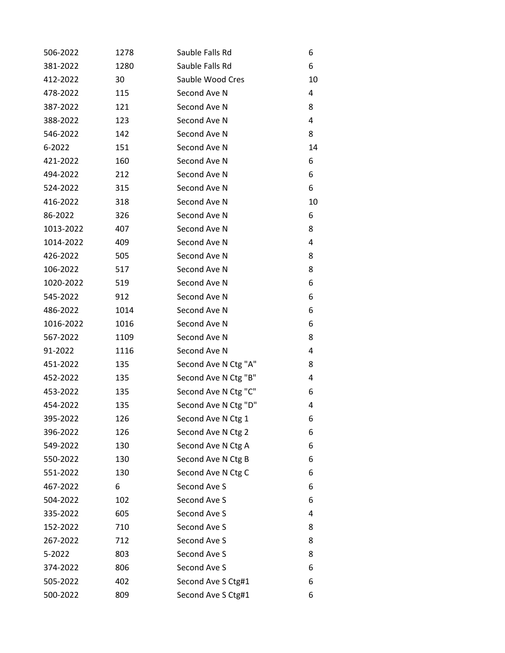| 506-2022  | 1278 | Sauble Falls Rd      | 6  |
|-----------|------|----------------------|----|
| 381-2022  | 1280 | Sauble Falls Rd      | 6  |
| 412-2022  | 30   | Sauble Wood Cres     | 10 |
| 478-2022  | 115  | Second Ave N         | 4  |
| 387-2022  | 121  | Second Ave N         | 8  |
| 388-2022  | 123  | Second Ave N         | 4  |
| 546-2022  | 142  | Second Ave N         | 8  |
| 6-2022    | 151  | Second Ave N         | 14 |
| 421-2022  | 160  | Second Ave N         | 6  |
| 494-2022  | 212  | Second Ave N         | 6  |
| 524-2022  | 315  | Second Ave N         | 6  |
| 416-2022  | 318  | Second Ave N         | 10 |
| 86-2022   | 326  | Second Ave N         | 6  |
| 1013-2022 | 407  | Second Ave N         | 8  |
| 1014-2022 | 409  | Second Ave N         | 4  |
| 426-2022  | 505  | Second Ave N         | 8  |
| 106-2022  | 517  | Second Ave N         | 8  |
| 1020-2022 | 519  | Second Ave N         | 6  |
| 545-2022  | 912  | Second Ave N         | 6  |
| 486-2022  | 1014 | Second Ave N         | 6  |
| 1016-2022 | 1016 | Second Ave N         | 6  |
| 567-2022  | 1109 | Second Ave N         | 8  |
| 91-2022   | 1116 | Second Ave N         | 4  |
| 451-2022  | 135  | Second Ave N Ctg "A" | 8  |
| 452-2022  | 135  | Second Ave N Ctg "B" | 4  |
| 453-2022  | 135  | Second Ave N Ctg "C" | 6  |
| 454-2022  | 135  | Second Ave N Ctg "D" | 4  |
| 395-2022  | 126  | Second Ave N Ctg 1   | 6  |
| 396-2022  | 126  | Second Ave N Ctg 2   | 6  |
| 549-2022  | 130  | Second Ave N Ctg A   | 6  |
| 550-2022  | 130  | Second Ave N Ctg B   | 6  |
| 551-2022  | 130  | Second Ave N Ctg C   | 6  |
| 467-2022  | 6    | Second Ave S         | 6  |
| 504-2022  | 102  | Second Ave S         | 6  |
| 335-2022  | 605  | Second Ave S         | 4  |
| 152-2022  | 710  | Second Ave S         | 8  |
| 267-2022  | 712  | Second Ave S         | 8  |
| 5-2022    | 803  | Second Ave S         | 8  |
| 374-2022  | 806  | Second Ave S         | 6  |
| 505-2022  | 402  | Second Ave S Ctg#1   | 6  |
| 500-2022  | 809  | Second Ave S Ctg#1   | 6  |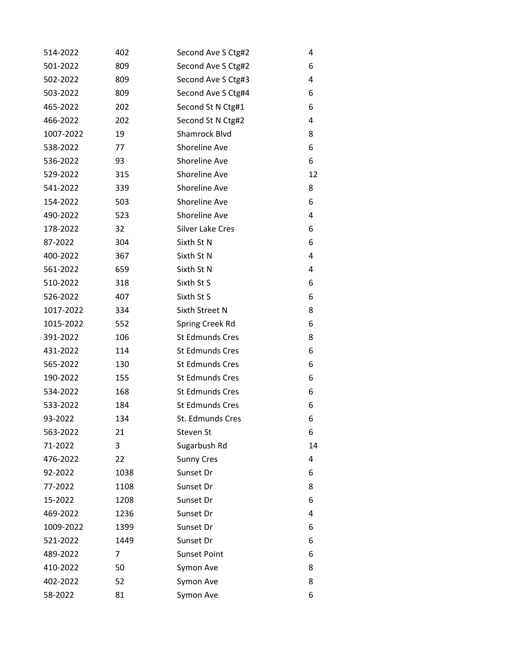| 514-2022  | 402  | Second Ave S Ctg#2     | 4  |
|-----------|------|------------------------|----|
| 501-2022  | 809  | Second Ave S Ctg#2     | 6  |
| 502-2022  | 809  | Second Ave S Ctg#3     | 4  |
| 503-2022  | 809  | Second Ave S Ctg#4     | 6  |
| 465-2022  | 202  | Second St N Ctg#1      | 6  |
| 466-2022  | 202  | Second St N Ctg#2      | 4  |
| 1007-2022 | 19   | Shamrock Blvd          | 8  |
| 538-2022  | 77   | Shoreline Ave          | 6  |
| 536-2022  | 93   | Shoreline Ave          | 6  |
| 529-2022  | 315  | Shoreline Ave          | 12 |
| 541-2022  | 339  | Shoreline Ave          | 8  |
| 154-2022  | 503  | Shoreline Ave          | 6  |
| 490-2022  | 523  | Shoreline Ave          | 4  |
| 178-2022  | 32   | Silver Lake Cres       | 6  |
| 87-2022   | 304  | Sixth St N             | 6  |
| 400-2022  | 367  | Sixth St N             | 4  |
| 561-2022  | 659  | Sixth St N             | 4  |
| 510-2022  | 318  | Sixth St S             | 6  |
| 526-2022  | 407  | Sixth St S             | 6  |
| 1017-2022 | 334  | Sixth Street N         | 8  |
| 1015-2022 | 552  | Spring Creek Rd        | 6  |
| 391-2022  | 106  | <b>St Edmunds Cres</b> | 8  |
| 431-2022  | 114  | <b>St Edmunds Cres</b> | 6  |
| 565-2022  | 130  | <b>St Edmunds Cres</b> | 6  |
| 190-2022  | 155  | <b>St Edmunds Cres</b> | 6  |
| 534-2022  | 168  | <b>St Edmunds Cres</b> | 6  |
| 533-2022  | 184  | <b>St Edmunds Cres</b> | 6  |
| 93-2022   | 134  | St. Edmunds Cres       | 6  |
| 563-2022  | 21   | Steven St              | 6  |
| 71-2022   | 3    | Sugarbush Rd           | 14 |
| 476-2022  | 22   | <b>Sunny Cres</b>      | 4  |
| 92-2022   | 1038 | Sunset Dr              | 6  |
| 77-2022   | 1108 | Sunset Dr              | 8  |
| 15-2022   | 1208 | Sunset Dr              | 6  |
| 469-2022  | 1236 | Sunset Dr              | 4  |
| 1009-2022 | 1399 | Sunset Dr              | 6  |
| 521-2022  | 1449 | Sunset Dr              | 6  |
| 489-2022  | 7    | <b>Sunset Point</b>    | 6  |
| 410-2022  | 50   | Symon Ave              | 8  |
| 402-2022  | 52   | Symon Ave              | 8  |
| 58-2022   | 81   | Symon Ave              | 6  |
|           |      |                        |    |